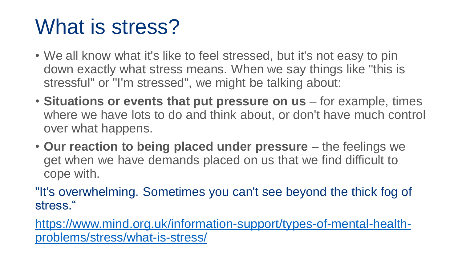# What is stress?

- We all know what it's like to feel stressed, but it's not easy to pin down exactly what stress means. When we say things like "this is stressful" or "I'm stressed", we might be talking about:
- **Situations or events that put pressure on us** for example, times where we have lots to do and think about, or don't have much control over what happens.
- **Our reaction to being placed under pressure** the feelings we get when we have demands placed on us that we find difficult to cope with.

"It's overwhelming. Sometimes you can't see beyond the thick fog of stress."

[https://www.mind.org.uk/information-support/types-of-mental-health](https://www.mind.org.uk/information-support/types-of-mental-health-problems/stress/what-is-stress/)[problems/stress/what-is-stress/](https://www.mind.org.uk/information-support/types-of-mental-health-problems/stress/what-is-stress/)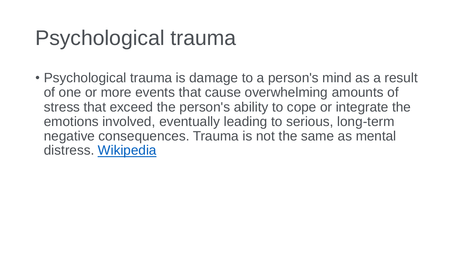# Psychological trauma

• Psychological trauma is damage to a person's mind as a result of one or more events that cause overwhelming amounts of stress that exceed the person's ability to cope or integrate the emotions involved, eventually leading to serious, long-term negative consequences. Trauma is not the same as mental distress. [Wikipedia](https://en.wikipedia.org/wiki/Psychological_trauma)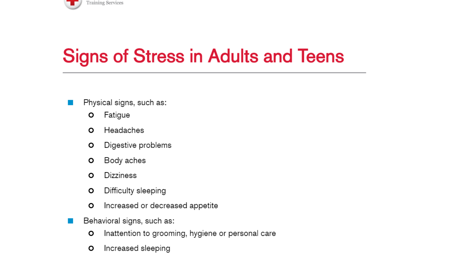

### **Signs of Stress in Adults and Teens**

- Physical signs, such as:
	- Fatigue O
	- Headaches  $\circ$
	- O Digestive problems
	- Body aches O
	- **Dizziness** O
	- Difficulty sleeping O
	- Increased or decreased appetite  $\circ$
- Behavioral signs, such as: ш
	- Inattention to grooming, hygiene or personal care O
	- Increased sleeping O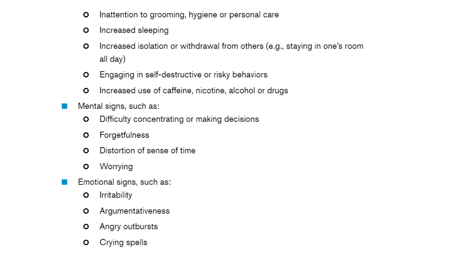- Inattention to grooming, hygiene or personal care  $\circ$
- Increased sleeping O
- Increased isolation or withdrawal from others (e.g., staying in one's room O all day)
- Engaging in self-destructive or risky behaviors  $\circ$
- Increased use of caffeine, nicotine, alcohol or drugs  $\circ$
- Mental signs, such as:

a a

- Difficulty concentrating or making decisions  $\circ$
- Forgetfulness  $\circ$
- Distortion of sense of time O
- Worrying  $\circ$
- Emotional signs, such as:
	- Irritability O
	- Argumentativeness  $\circ$
	- Angry outbursts  $\circ$
	- Crying spells O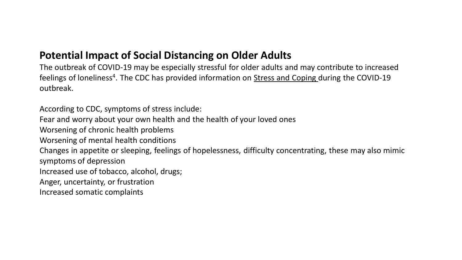#### **Potential Impact of Social Distancing on Older Adults**

The outbreak of COVID-19 may be especially stressful for older adults and may contribute to increased feelings of loneliness<sup>4</sup>. The CDC has provided information on Stress and Coping during the COVID-19 outbreak.

According to CDC, symptoms of stress include:

Fear and worry about your own health and the health of your loved ones

Worsening of chronic health problems

Worsening of mental health conditions

Changes in appetite or sleeping, feelings of hopelessness, difficulty concentrating, these may also mimic symptoms of depression

Increased use of tobacco, alcohol, drugs;

Anger, uncertainty, or frustration

Increased somatic complaints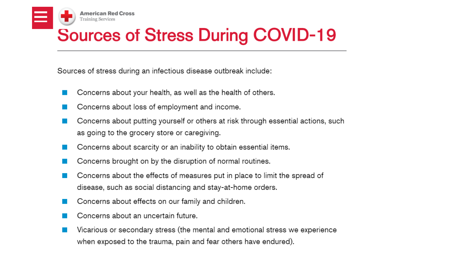

### **Sources of Stress During COVID-19**

Sources of stress during an infectious disease outbreak include:

- Concerns about your health, as well as the health of others.
- Concerns about loss of employment and income.
- Concerns about putting yourself or others at risk through essential actions, such as going to the grocery store or caregiving.
- Concerns about scarcity or an inability to obtain essential items.
- Concerns brought on by the disruption of normal routines.
- Concerns about the effects of measures put in place to limit the spread of disease, such as social distancing and stay-at-home orders.
- Concerns about effects on our family and children.
- Concerns about an uncertain future.
- Vicarious or secondary stress (the mental and emotional stress we experience when exposed to the trauma, pain and fear others have endured).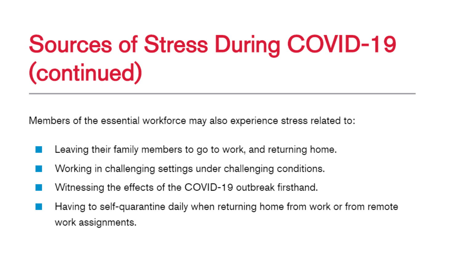# **Sources of Stress During COVID-19** (continued)

Members of the essential workforce may also experience stress related to:

- Leaving their family members to go to work, and returning home.
- Working in challenging settings under challenging conditions.
- Witnessing the effects of the COVID-19 outbreak firsthand.
- Having to self-quarantine daily when returning home from work or from remote work assignments.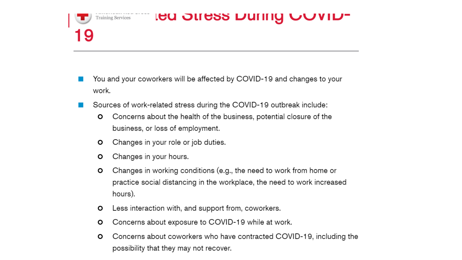

#### You and your coworkers will be affected by COVID-19 and changes to your work.

**IGU OIIGSS DUIIIIY UUVID-**

- Sources of work-related stress during the COVID-19 outbreak include:
	- Concerns about the health of the business, potential closure of the  $\circ$ business, or loss of employment.
	- Changes in your role or job duties.  $\circ$
	- Changes in your hours.  $\circ$
	- Changes in working conditions (e.g., the need to work from home or  $\circ$ practice social distancing in the workplace, the need to work increased hours).
	- Less interaction with, and support from, coworkers.  $\circ$
	- Concerns about exposure to COVID-19 while at work.  $\circ$
	- Concerns about coworkers who have contracted COVID-19, including the  $\circ$ possibility that they may not recover.